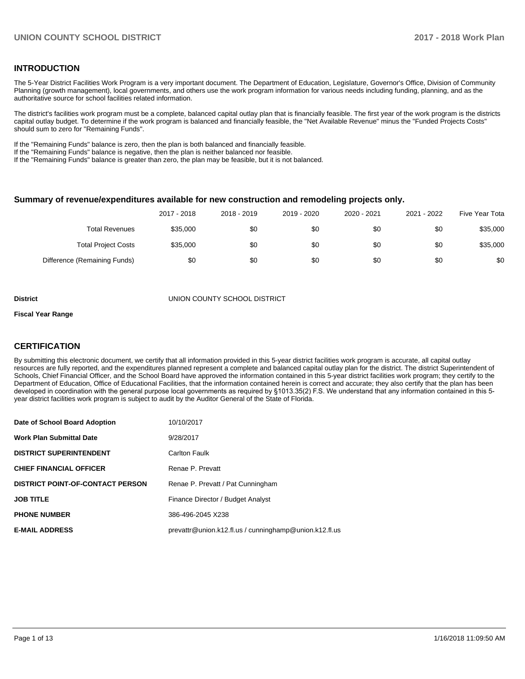### **INTRODUCTION**

The 5-Year District Facilities Work Program is a very important document. The Department of Education, Legislature, Governor's Office, Division of Community Planning (growth management), local governments, and others use the work program information for various needs including funding, planning, and as the authoritative source for school facilities related information.

The district's facilities work program must be a complete, balanced capital outlay plan that is financially feasible. The first year of the work program is the districts capital outlay budget. To determine if the work program is balanced and financially feasible, the "Net Available Revenue" minus the "Funded Projects Costs" should sum to zero for "Remaining Funds".

If the "Remaining Funds" balance is zero, then the plan is both balanced and financially feasible.

If the "Remaining Funds" balance is negative, then the plan is neither balanced nor feasible.

If the "Remaining Funds" balance is greater than zero, the plan may be feasible, but it is not balanced.

#### **Summary of revenue/expenditures available for new construction and remodeling projects only.**

| Five Year Tota | 2021 - 2022 | 2020 - 2021 | 2019 - 2020 | 2018 - 2019 | 2017 - 2018 |                              |
|----------------|-------------|-------------|-------------|-------------|-------------|------------------------------|
| \$35,000       | \$0         | \$0         | \$0         | \$0         | \$35,000    | Total Revenues               |
| \$35,000       | \$0         | \$0         | \$0         | \$0         | \$35,000    | <b>Total Project Costs</b>   |
| \$0            | \$0         | \$0         | \$0         | \$0         | \$0         | Difference (Remaining Funds) |

**District** UNION COUNTY SCHOOL DISTRICT

#### **Fiscal Year Range**

### **CERTIFICATION**

By submitting this electronic document, we certify that all information provided in this 5-year district facilities work program is accurate, all capital outlay resources are fully reported, and the expenditures planned represent a complete and balanced capital outlay plan for the district. The district Superintendent of Schools, Chief Financial Officer, and the School Board have approved the information contained in this 5-year district facilities work program; they certify to the Department of Education, Office of Educational Facilities, that the information contained herein is correct and accurate; they also certify that the plan has been developed in coordination with the general purpose local governments as required by §1013.35(2) F.S. We understand that any information contained in this 5year district facilities work program is subject to audit by the Auditor General of the State of Florida.

| Date of School Board Adoption           | 10/10/2017                                             |
|-----------------------------------------|--------------------------------------------------------|
| <b>Work Plan Submittal Date</b>         | 9/28/2017                                              |
| <b>DISTRICT SUPERINTENDENT</b>          | Carlton Faulk                                          |
| <b>CHIEF FINANCIAL OFFICER</b>          | Renae P. Prevatt                                       |
| <b>DISTRICT POINT-OF-CONTACT PERSON</b> | Renae P. Prevatt / Pat Cunningham                      |
| <b>JOB TITLE</b>                        | Finance Director / Budget Analyst                      |
| <b>PHONE NUMBER</b>                     | 386-496-2045 X238                                      |
| <b>E-MAIL ADDRESS</b>                   | prevattr@union.k12.fl.us / cunninghamp@union.k12.fl.us |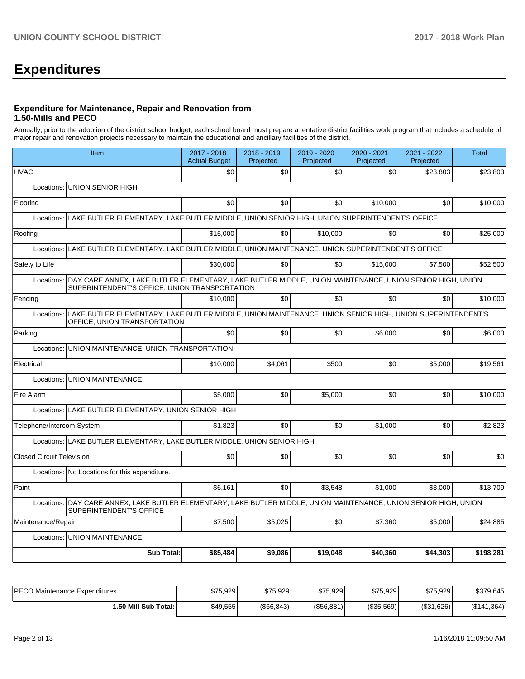# **Expenditures**

#### **Expenditure for Maintenance, Repair and Renovation from 1.50-Mills and PECO**

Annually, prior to the adoption of the district school budget, each school board must prepare a tentative district facilities work program that includes a schedule of major repair and renovation projects necessary to maintain the educational and ancillary facilities of the district.

| Item                                                                                                                                                                   | 2017 - 2018<br><b>Actual Budget</b> | 2018 - 2019<br>Projected | 2019 - 2020<br>Projected | 2020 - 2021<br>Projected | 2021 - 2022<br>Projected | <b>Total</b> |
|------------------------------------------------------------------------------------------------------------------------------------------------------------------------|-------------------------------------|--------------------------|--------------------------|--------------------------|--------------------------|--------------|
| <b>HVAC</b>                                                                                                                                                            | \$0                                 | \$0                      | \$0                      | \$0                      | \$23.803                 | \$23,803     |
| UNION SENIOR HIGH<br>Locations:                                                                                                                                        |                                     |                          |                          |                          |                          |              |
| Flooring                                                                                                                                                               | \$0                                 | \$0                      | \$0                      | \$10,000                 | \$0                      | \$10,000     |
| Locations: LAKE BUTLER ELEMENTARY, LAKE BUTLER MIDDLE, UNION SENIOR HIGH, UNION SUPERINTENDENT'S OFFICE                                                                |                                     |                          |                          |                          |                          |              |
| Roofing                                                                                                                                                                | \$15,000                            | \$0                      | \$10,000                 | \$0                      | \$0                      | \$25,000     |
| LAKE BUTLER ELEMENTARY, LAKE BUTLER MIDDLE, UNION MAINTENANCE, UNION SUPERINTENDENT'S OFFICE<br>Locations:                                                             |                                     |                          |                          |                          |                          |              |
| Safety to Life                                                                                                                                                         | \$30,000                            | \$0                      | \$0                      | \$15,000                 | \$7,500                  | \$52,500     |
| DAY CARE ANNEX, LAKE BUTLER ELEMENTARY, LAKE BUTLER MIDDLE, UNION MAINTENANCE, UNION SENIOR HIGH, UNION<br>Locations:<br>SUPERINTENDENT'S OFFICE, UNION TRANSPORTATION |                                     |                          |                          |                          |                          |              |
| Fencing                                                                                                                                                                | \$10,000                            | \$0                      | \$0                      | \$0                      | \$0                      | \$10,000     |
| LAKE BUTLER ELEMENTARY, LAKE BUTLER MIDDLE, UNION MAINTENANCE, UNION SENIOR HIGH, UNION SUPERINTENDENT'S<br>Locations:<br>OFFICE, UNION TRANSPORTATION                 |                                     |                          |                          |                          |                          |              |
| Parking                                                                                                                                                                | \$0                                 | \$0                      | \$0                      | \$6,000                  | \$0                      | \$6,000      |
| UNION MAINTENANCE, UNION TRANSPORTATION<br>Locations:                                                                                                                  |                                     |                          |                          |                          |                          |              |
| Electrical                                                                                                                                                             | \$10,000                            | \$4,061                  | \$500                    | \$0                      | \$5,000                  | \$19,561     |
| <b>UNION MAINTENANCE</b><br>Locations:                                                                                                                                 |                                     |                          |                          |                          |                          |              |
| Fire Alarm                                                                                                                                                             | \$5,000                             | \$0                      | \$5,000                  | \$0 <sub>1</sub>         | \$0                      | \$10,000     |
| Locations: LAKE BUTLER ELEMENTARY, UNION SENIOR HIGH                                                                                                                   |                                     |                          |                          |                          |                          |              |
| Telephone/Intercom System                                                                                                                                              | \$1,823                             | \$0                      | \$0                      | \$1,000                  | \$0                      | \$2,823      |
| Locations: LAKE BUTLER ELEMENTARY, LAKE BUTLER MIDDLE, UNION SENIOR HIGH                                                                                               |                                     |                          |                          |                          |                          |              |
| <b>Closed Circuit Television</b>                                                                                                                                       | \$0                                 | \$0                      | \$0                      | \$0                      | \$0                      | \$0          |
| Locations: No Locations for this expenditure.                                                                                                                          |                                     |                          |                          |                          |                          |              |
| Paint                                                                                                                                                                  | \$6.161                             | \$0                      | \$3,548                  | \$1,000                  | \$3.000                  | \$13,709     |
| Locations: DAY CARE ANNEX, LAKE BUTLER ELEMENTARY, LAKE BUTLER MIDDLE, UNION MAINTENANCE, UNION SENIOR HIGH, UNION<br>SUPERINTENDENT'S OFFICE                          |                                     |                          |                          |                          |                          |              |
| Maintenance/Repair                                                                                                                                                     | \$7,500                             | \$5,025                  | \$0                      | \$7,360                  | \$5,000                  | \$24,885     |
| Locations: UNION MAINTENANCE                                                                                                                                           |                                     |                          |                          |                          |                          |              |
| <b>Sub Total:</b>                                                                                                                                                      | \$85,484                            | \$9,086                  | \$19,048                 | \$40,360                 | \$44,303                 | \$198,281    |

| PECO Maintenance Expenditures | \$75,929 | \$75.929     | \$75.929      | \$75,929          | \$75,929    | \$379,645   |
|-------------------------------|----------|--------------|---------------|-------------------|-------------|-------------|
| 50 Mill Sub Total: I          | \$49,555 | ( \$66, 843) | $($ \$56,881) | $($ \$35,569) $ $ | ( \$31,626) | (\$141,364) |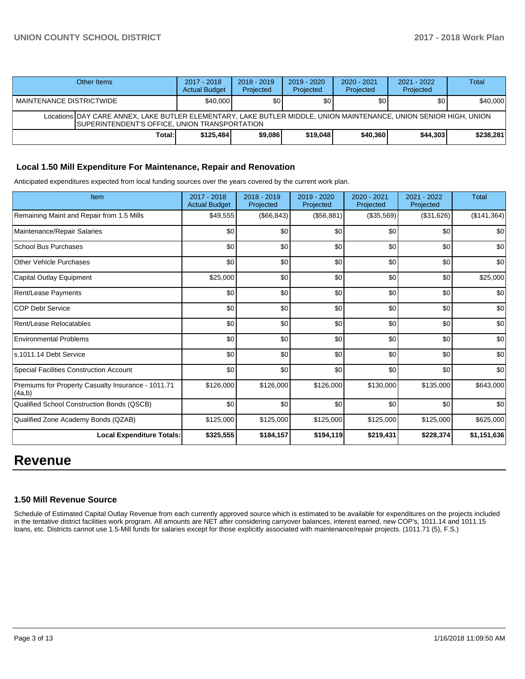# **UNION COUNTY SCHOOL DISTRICT 2017 - 2018 Work Plan**

| Other Items                                                                                                                                                         | 2017 - 2018<br><b>Actual Budget</b> | $2018 - 2019$<br>Projected | 2019 - 2020<br>Projected | $2020 - 2021$<br>Projected | $2021 - 2022$<br>Projected | Total     |  |  |
|---------------------------------------------------------------------------------------------------------------------------------------------------------------------|-------------------------------------|----------------------------|--------------------------|----------------------------|----------------------------|-----------|--|--|
| MAINTENANCE DISTRICTWIDE                                                                                                                                            | \$40,000                            | \$0                        | \$0 <sub>0</sub>         | \$0                        | \$0 I                      | \$40,000  |  |  |
| Locations IDAY CARE ANNEX. LAKE BUTLER ELEMENTARY. LAKE BUTLER MIDDLE, UNION MAINTENANCE, UNION SENIOR HIGH, UNION<br>SUPERINTENDENT'S OFFICE, UNION TRANSPORTATION |                                     |                            |                          |                            |                            |           |  |  |
| Total:                                                                                                                                                              | \$125.484                           | \$9,086                    | \$19,048                 | \$40,360                   | \$44.303                   | \$238,281 |  |  |

#### **Local 1.50 Mill Expenditure For Maintenance, Repair and Renovation**

Anticipated expenditures expected from local funding sources over the years covered by the current work plan.

| Item                                                         | 2017 - 2018<br><b>Actual Budget</b> | 2018 - 2019<br>Projected | 2019 - 2020<br>Projected | 2020 - 2021<br>Projected | 2021 - 2022<br>Projected | <b>Total</b>       |
|--------------------------------------------------------------|-------------------------------------|--------------------------|--------------------------|--------------------------|--------------------------|--------------------|
| Remaining Maint and Repair from 1.5 Mills                    | \$49,555                            | (\$66, 843)              | (\$56,881)               | (\$35,569)               | (\$31,626)               | $($ \$141,364) $ $ |
| Maintenance/Repair Salaries                                  | \$0                                 | \$0                      | \$0                      | \$0                      | \$0                      | \$0                |
| <b>School Bus Purchases</b>                                  | \$0                                 | \$0                      | \$0                      | \$0                      | \$0                      | \$0                |
| <b>Other Vehicle Purchases</b>                               | \$0                                 | \$0                      | \$0                      | \$0                      | \$0                      | \$0                |
| Capital Outlay Equipment                                     | \$25,000                            | \$0                      | \$0                      | \$0                      | \$0                      | \$25,000           |
| Rent/Lease Payments                                          | \$0                                 | \$0                      | \$0                      | \$0                      | \$0                      | \$0                |
| <b>COP Debt Service</b>                                      | \$0                                 | \$0                      | \$0                      | \$0                      | \$0                      | \$0                |
| Rent/Lease Relocatables                                      | \$0                                 | \$0                      | \$0                      | \$0                      | \$0                      | \$0                |
| <b>Environmental Problems</b>                                | \$0                                 | \$0                      | \$0                      | \$0                      | \$0                      | \$0                |
| s.1011.14 Debt Service                                       | \$0                                 | \$0                      | \$0                      | \$0                      | \$0                      | \$0                |
| <b>Special Facilities Construction Account</b>               | \$0                                 | \$0                      | \$0                      | \$0                      | \$0                      | \$0                |
| Premiums for Property Casualty Insurance - 1011.71<br>(4a,b) | \$126,000                           | \$126,000                | \$126,000                | \$130,000                | \$135,000                | \$643,000          |
| Qualified School Construction Bonds (QSCB)                   | \$0                                 | \$0                      | \$0                      | \$0                      | \$0                      | \$0                |
| Qualified Zone Academy Bonds (QZAB)                          | \$125,000                           | \$125,000                | \$125,000                | \$125,000                | \$125,000                | \$625,000          |
| <b>Local Expenditure Totals:</b>                             | \$325,555                           | \$184,157                | \$194,119                | \$219,431                | \$228,374                | \$1,151,636        |

# **Revenue**

#### **1.50 Mill Revenue Source**

Schedule of Estimated Capital Outlay Revenue from each currently approved source which is estimated to be available for expenditures on the projects included in the tentative district facilities work program. All amounts are NET after considering carryover balances, interest earned, new COP's, 1011.14 and 1011.15 loans, etc. Districts cannot use 1.5-Mill funds for salaries except for those explicitly associated with maintenance/repair projects. (1011.71 (5), F.S.)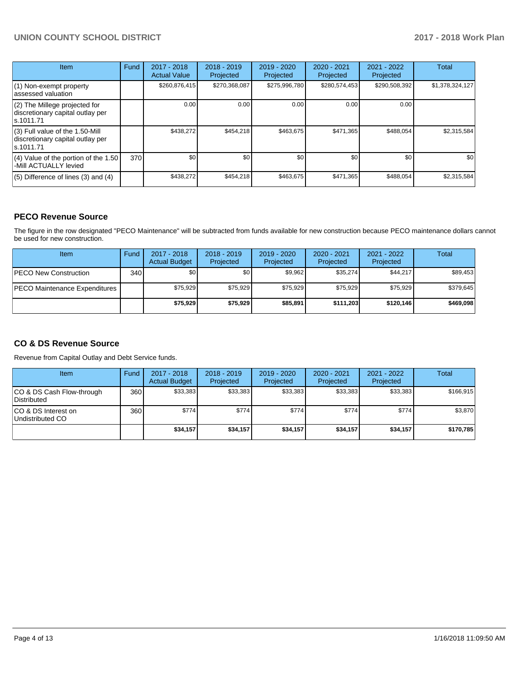# **UNION COUNTY SCHOOL DISTRICT 2017 - 2018 Work Plan**

| Item                                                                                | Fund | 2017 - 2018<br><b>Actual Value</b> | $2018 - 2019$<br>Projected | $2019 - 2020$<br>Projected | $2020 - 2021$<br>Projected | $2021 - 2022$<br>Projected | <b>Total</b>    |
|-------------------------------------------------------------------------------------|------|------------------------------------|----------------------------|----------------------------|----------------------------|----------------------------|-----------------|
| (1) Non-exempt property<br>lassessed valuation                                      |      | \$260,876,415                      | \$270,368,087              | \$275,996,780              | \$280,574,453              | \$290,508,392              | \$1,378,324,127 |
| (2) The Millege projected for<br>discretionary capital outlay per<br>ls.1011.71     |      | 0.00                               | 0.00                       | 0.00                       | 0.00                       | 0.00                       |                 |
| $(3)$ Full value of the 1.50-Mill<br>discretionary capital outlay per<br>ls.1011.71 |      | \$438,272                          | \$454,218                  | \$463.675                  | \$471,365                  | \$488,054                  | \$2,315,584     |
| $(4)$ Value of the portion of the 1.50<br>-Mill ACTUALLY levied                     | 370I | \$0 <sub>1</sub>                   | \$0                        | \$0                        | \$0                        | \$0                        | \$0             |
| $(5)$ Difference of lines (3) and (4)                                               |      | \$438,272                          | \$454,218                  | \$463,675                  | \$471,365                  | \$488,054                  | \$2,315,584     |

### **PECO Revenue Source**

The figure in the row designated "PECO Maintenance" will be subtracted from funds available for new construction because PECO maintenance dollars cannot be used for new construction.

| Item                          | Fund             | $2017 - 2018$<br><b>Actual Budget</b> | $2018 - 2019$<br>Projected | 2019 - 2020<br>Projected | $2020 - 2021$<br>Projected | $2021 - 2022$<br>Projected | <b>Total</b> |
|-------------------------------|------------------|---------------------------------------|----------------------------|--------------------------|----------------------------|----------------------------|--------------|
| <b>IPECO New Construction</b> | 340 <sup>1</sup> | \$0                                   | \$0                        | \$9,962                  | \$35,274                   | \$44.217                   | \$89,453     |
| PECO Maintenance Expenditures |                  | \$75,929                              | \$75.929                   | \$75,929                 | \$75,929                   | \$75,929                   | \$379,645    |
|                               |                  | \$75,929                              | \$75,929                   | \$85,891                 | \$111.203                  | \$120.146                  | \$469,098    |

# **CO & DS Revenue Source**

Revenue from Capital Outlay and Debt Service funds.

| Item                                      | Fund | $2017 - 2018$<br><b>Actual Budget</b> | $2018 - 2019$<br>Projected | $2019 - 2020$<br>Projected | $2020 - 2021$<br>Projected | $2021 - 2022$<br>Projected | <b>Total</b> |
|-------------------------------------------|------|---------------------------------------|----------------------------|----------------------------|----------------------------|----------------------------|--------------|
| ICO & DS Cash Flow-through<br>Distributed | 360  | \$33.383                              | \$33,383                   | \$33,383                   | \$33.383                   | \$33,383                   | \$166.915    |
| ICO & DS Interest on<br>Undistributed CO  | 360  | \$774                                 | \$774                      | \$774                      | \$774                      | \$774                      | \$3,870      |
|                                           |      | \$34,157                              | \$34,157                   | \$34,157                   | \$34.157                   | \$34.157                   | \$170,785    |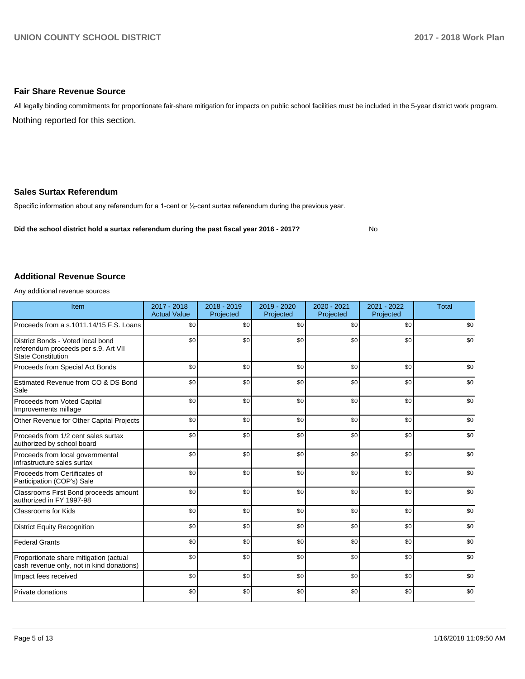#### **Fair Share Revenue Source**

Nothing reported for this section. All legally binding commitments for proportionate fair-share mitigation for impacts on public school facilities must be included in the 5-year district work program.

#### **Sales Surtax Referendum**

Specific information about any referendum for a 1-cent or 1/2-cent surtax referendum during the previous year.

**Did the school district hold a surtax referendum during the past fiscal year 2016 - 2017?**

No

#### **Additional Revenue Source**

Any additional revenue sources

| Item                                                                                                   | 2017 - 2018<br><b>Actual Value</b> | 2018 - 2019<br>Projected | 2019 - 2020<br>Projected | 2020 - 2021<br>Projected | 2021 - 2022<br>Projected | <b>Total</b> |
|--------------------------------------------------------------------------------------------------------|------------------------------------|--------------------------|--------------------------|--------------------------|--------------------------|--------------|
| Proceeds from a s.1011.14/15 F.S. Loans                                                                | \$0                                | \$0                      | \$0                      | \$0                      | \$0                      | \$0          |
| District Bonds - Voted local bond<br>referendum proceeds per s.9, Art VII<br><b>State Constitution</b> | \$0                                | \$0                      | \$0                      | \$0                      | \$0                      | \$0          |
| Proceeds from Special Act Bonds                                                                        | \$0                                | \$0                      | \$0                      | \$0                      | \$0                      | \$0          |
| Estimated Revenue from CO & DS Bond<br>Sale                                                            | \$0                                | \$0                      | \$0                      | \$0                      | \$0                      | \$0          |
| Proceeds from Voted Capital<br>Improvements millage                                                    | \$0                                | \$0                      | \$0                      | \$0                      | \$0                      | \$0          |
| Other Revenue for Other Capital Projects                                                               | \$0                                | \$0                      | \$0                      | \$0                      | \$0                      | \$0          |
| Proceeds from 1/2 cent sales surtax<br>authorized by school board                                      | \$0                                | \$0                      | \$0                      | \$0                      | \$0                      | \$0          |
| Proceeds from local governmental<br>infrastructure sales surtax                                        | \$0                                | \$0                      | \$0                      | \$0                      | \$0                      | \$0          |
| Proceeds from Certificates of<br>Participation (COP's) Sale                                            | \$0                                | \$0                      | \$0                      | \$0                      | \$0                      | \$0          |
| Classrooms First Bond proceeds amount<br>authorized in FY 1997-98                                      | \$0                                | \$0                      | \$0                      | \$0                      | \$0                      | \$0          |
| <b>Classrooms for Kids</b>                                                                             | \$0                                | \$0                      | \$0                      | \$0                      | \$0                      | \$0          |
| <b>District Equity Recognition</b>                                                                     | \$0                                | \$0                      | \$0                      | \$0                      | \$0                      | \$0          |
| <b>Federal Grants</b>                                                                                  | \$0                                | \$0                      | \$0                      | \$0                      | \$0                      | \$0          |
| Proportionate share mitigation (actual<br>cash revenue only, not in kind donations)                    | \$0                                | \$0                      | \$0                      | \$0                      | \$0                      | \$0          |
| Impact fees received                                                                                   | \$0                                | \$0                      | \$0                      | \$0                      | \$0                      | \$0          |
| Private donations                                                                                      | \$0                                | \$0                      | \$0                      | \$0                      | \$0                      | \$0          |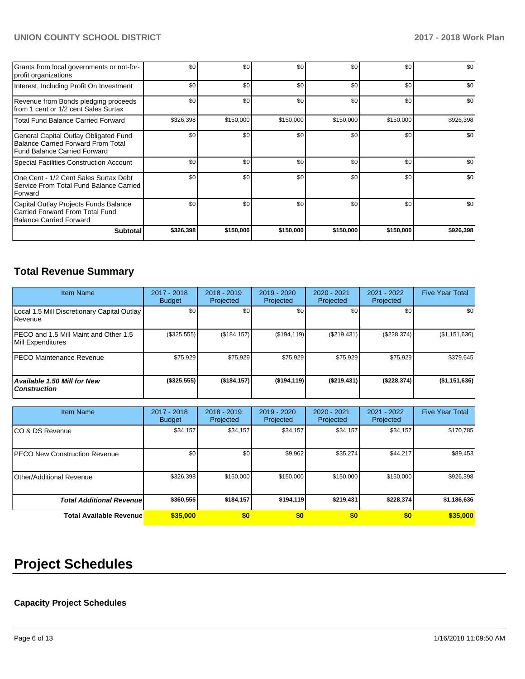# **UNION COUNTY SCHOOL DISTRICT 2017 - 2018 Work Plan**

| Grants from local governments or not-for-<br>profit organizations                                                         | \$0              | \$0       | \$0       | \$0       | \$0       | \$0       |
|---------------------------------------------------------------------------------------------------------------------------|------------------|-----------|-----------|-----------|-----------|-----------|
| Interest, Including Profit On Investment                                                                                  | \$0              | \$0       | \$0       | \$0       | \$0       | \$0       |
| Revenue from Bonds pledging proceeds<br>from 1 cent or 1/2 cent Sales Surtax                                              | \$0              | \$0       | \$0       | \$0       | \$0       | \$0       |
| <b>Total Fund Balance Carried Forward</b>                                                                                 | \$326,398        | \$150,000 | \$150,000 | \$150,000 | \$150,000 | \$926,398 |
| General Capital Outlay Obligated Fund<br><b>Balance Carried Forward From Total</b><br><b>Fund Balance Carried Forward</b> | \$0              | \$0       | \$0       | \$0       | \$0       | \$0       |
| Special Facilities Construction Account                                                                                   | \$0              | \$0       | \$0       | \$0       | \$0       | \$0       |
| One Cent - 1/2 Cent Sales Surtax Debt<br>Service From Total Fund Balance Carried<br>Forward                               | \$0              | \$0       | \$0       | \$0       | \$0       | \$0       |
| Capital Outlay Projects Funds Balance<br>Carried Forward From Total Fund<br><b>Balance Carried Forward</b>                | \$0 <sub>l</sub> | \$0       | \$0       | \$0       | \$0       | \$0       |
| <b>Subtotal</b>                                                                                                           | \$326,398        | \$150,000 | \$150,000 | \$150,000 | \$150,000 | \$926,398 |

# **Total Revenue Summary**

| <b>Item Name</b>                                              | 2017 - 2018<br><b>Budget</b> | $2018 - 2019$<br>Projected | $2019 - 2020$<br>Projected | $2020 - 2021$<br><b>Projected</b> | 2021 - 2022<br>Projected | <b>Five Year Total</b> |
|---------------------------------------------------------------|------------------------------|----------------------------|----------------------------|-----------------------------------|--------------------------|------------------------|
| Local 1.5 Mill Discretionary Capital Outlay<br><b>Revenue</b> | \$0                          | \$0                        | \$0                        | \$0                               | \$0                      | \$0                    |
| IPECO and 1.5 Mill Maint and Other 1.5<br>Mill Expenditures   | $(\$325,555)$                | (\$184, 157)               | (\$194, 119)               | (\$219,431)                       | (\$228,374)              | (\$1,151,636)          |
| <b>IPECO Maintenance Revenue</b>                              | \$75.929                     | \$75,929                   | \$75,929                   | \$75,929                          | \$75,929                 | \$379,645              |
| <b>Available 1.50 Mill for New</b><br><b>Construction</b>     | (\$325,555)                  | (\$184, 157)               | (\$194, 119)               | (S219, 431)                       | (\$228,374)              | (\$1,151,636)          |

| <b>Item Name</b>                      | 2017 - 2018<br><b>Budget</b> | $2018 - 2019$<br>Projected | $2019 - 2020$<br>Projected | 2020 - 2021<br>Projected | 2021 - 2022<br>Projected | <b>Five Year Total</b> |
|---------------------------------------|------------------------------|----------------------------|----------------------------|--------------------------|--------------------------|------------------------|
| ICO & DS Revenue                      | \$34,157                     | \$34,157                   | \$34,157                   | \$34,157                 | \$34,157                 | \$170,785              |
| <b>IPECO New Construction Revenue</b> | \$0                          | \$0                        | \$9,962                    | \$35,274                 | \$44,217                 | \$89,453               |
| Other/Additional Revenue              | \$326,398                    | \$150,000                  | \$150,000                  | \$150,000                | \$150,000                | \$926,398              |
| <b>Total Additional Revenuel</b>      | \$360,555                    | \$184,157                  | \$194,119                  | \$219,431                | \$228,374                | \$1,186,636            |
| <b>Total Available Revenue</b>        | \$35,000                     | \$0                        | \$0                        | \$0                      | \$0                      | \$35,000               |

# **Project Schedules**

# **Capacity Project Schedules**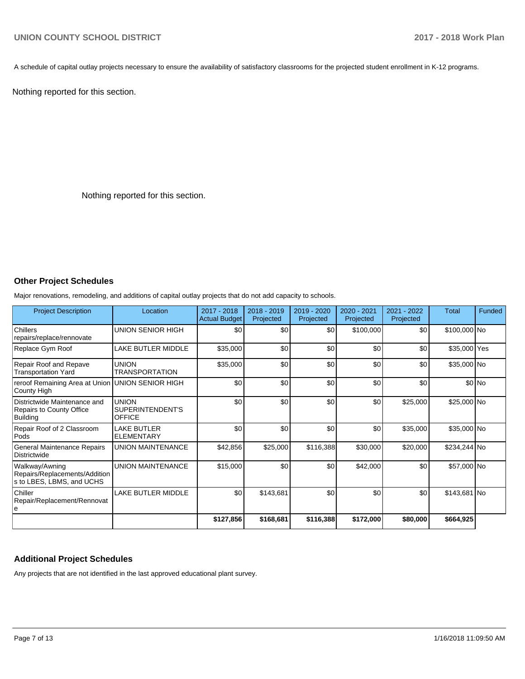A schedule of capital outlay projects necessary to ensure the availability of satisfactory classrooms for the projected student enrollment in K-12 programs.

Nothing reported for this section.

Nothing reported for this section.

# **Other Project Schedules**

Major renovations, remodeling, and additions of capital outlay projects that do not add capacity to schools.

| <b>Project Description</b>                                                         | Location                                          | 2017 - 2018<br><b>Actual Budget</b> | 2018 - 2019<br>Projected | 2019 - 2020<br>Projected | 2020 - 2021<br>Projected | 2021 - 2022<br>Projected | Total        | Funded |
|------------------------------------------------------------------------------------|---------------------------------------------------|-------------------------------------|--------------------------|--------------------------|--------------------------|--------------------------|--------------|--------|
| <b>Chillers</b><br>repairs/replace/rennovate                                       | UNION SENIOR HIGH                                 | \$0                                 | \$0                      | \$0                      | \$100,000                | \$0                      | \$100,000 No |        |
| Replace Gym Roof                                                                   | LAKE BUTLER MIDDLE                                | \$35,000                            | \$0                      | \$0                      | \$0                      | \$0                      | \$35,000 Yes |        |
| <b>Repair Roof and Repave</b><br><b>Transportation Yard</b>                        | <b>UNION</b><br><b>TRANSPORTATION</b>             | \$35,000                            | \$0                      | \$0                      | \$0                      | \$0                      | \$35,000 No  |        |
| reroof Remaining Area at Union<br>County High                                      | UNION SENIOR HIGH                                 | \$0                                 | \$0                      | \$0                      | \$0                      | \$0                      |              | \$0 No |
| Districtwide Maintenance and<br><b>Repairs to County Office</b><br><b>Building</b> | <b>UNION</b><br>SUPERINTENDENT'S<br><b>OFFICE</b> | \$0                                 | \$0                      | \$0                      | \$0                      | \$25,000                 | \$25,000 No  |        |
| Repair Roof of 2 Classroom<br>Pods                                                 | <b>LAKE BUTLER</b><br><b>ELEMENTARY</b>           | \$0                                 | \$0                      | \$0                      | \$0                      | \$35,000                 | \$35,000 No  |        |
| General Maintenance Repairs<br>Districtwide                                        | <b>UNION MAINTENANCE</b>                          | \$42,856                            | \$25,000                 | \$116,388                | \$30,000                 | \$20,000                 | \$234,244 No |        |
| Walkway/Awning<br>Repairs/Replacements/Addition<br>s to LBES, LBMS, and UCHS       | <b>UNION MAINTENANCE</b>                          | \$15,000                            | \$0                      | \$0                      | \$42,000                 | \$0                      | \$57,000 No  |        |
| Chiller<br>Repair/Replacement/Rennovat<br>۱e                                       | <b>LAKE BUTLER MIDDLE</b>                         | \$0                                 | \$143,681                | \$0                      | \$0                      | \$0                      | \$143,681 No |        |
|                                                                                    |                                                   | \$127,856                           | \$168,681                | \$116,388                | \$172,000                | \$80,000                 | \$664,925    |        |

#### **Additional Project Schedules**

Any projects that are not identified in the last approved educational plant survey.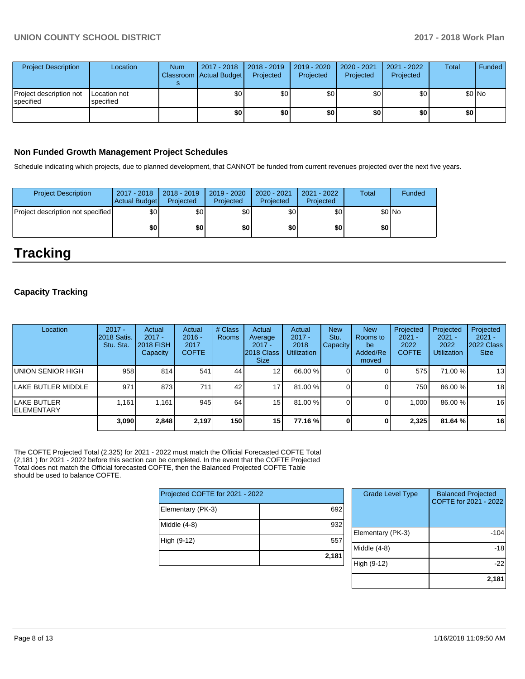| <b>Project Description</b>           | Location                  | <b>Num</b> | 2017 - 2018<br>Classroom Actual Budget | $\vert$ 2018 - 2019<br>Projected | 2019 - 2020<br>Projected | 2020 - 2021<br>Projected | 2021 - 2022<br>Projected | <b>Total</b> | Funded |
|--------------------------------------|---------------------------|------------|----------------------------------------|----------------------------------|--------------------------|--------------------------|--------------------------|--------------|--------|
| Project description not<br>specified | Location not<br>specified |            | \$0                                    | \$0                              | \$0                      | \$0                      | \$0                      |              | \$0 No |
|                                      |                           |            | \$0                                    | \$0                              | \$0                      | \$0                      | \$0                      | \$0          |        |

### **Non Funded Growth Management Project Schedules**

Schedule indicating which projects, due to planned development, that CANNOT be funded from current revenues projected over the next five years.

| <b>Project Description</b>        | 2017 - 2018<br><b>Actual Budget</b> | 2018 - 2019<br>Projected | 2019 - 2020<br>Projected | 2020 - 2021<br>Projected | 2021 - 2022<br>Projected | Total | Funded  |
|-----------------------------------|-------------------------------------|--------------------------|--------------------------|--------------------------|--------------------------|-------|---------|
| Project description not specified | \$0                                 | ا 30                     | \$0                      | \$0                      | \$0                      |       | $$0$ No |
|                                   | \$0                                 | \$0                      | \$0                      | \$0                      | \$0                      | \$0   |         |

# **Tracking**

### **Capacity Tracking**

| Location                           | $2017 -$<br>2018 Satis.<br>Stu. Sta. | Actual<br>$2017 -$<br>2018 FISH<br>Capacity | Actual<br>$2016 -$<br>2017<br><b>COFTE</b> | # Class<br><b>Rooms</b> | Actual<br>Average<br>$2017 -$<br>2018 Class<br><b>Size</b> | Actual<br>$2017 -$<br>2018<br><b>Utilization</b> | <b>New</b><br>Stu.<br><b>Capacity</b> | <b>New</b><br>Rooms to<br>be<br>Added/Re<br>moved | Projected<br>$2021 -$<br>2022<br><b>COFTE</b> | Projected<br>$2021 -$<br>2022<br><b>Utilization</b> | Projected<br>$2021 -$<br>2022 Class<br><b>Size</b> |
|------------------------------------|--------------------------------------|---------------------------------------------|--------------------------------------------|-------------------------|------------------------------------------------------------|--------------------------------------------------|---------------------------------------|---------------------------------------------------|-----------------------------------------------|-----------------------------------------------------|----------------------------------------------------|
| UNION SENIOR HIGH                  | 958                                  | 814                                         | 541                                        | 44                      | 12 <sub>1</sub>                                            | 66.00 %                                          |                                       |                                                   | 575                                           | 71.00 %                                             | 13                                                 |
| LAKE BUTLER MIDDLE                 | 971                                  | 873                                         | 711                                        | 42                      | 17                                                         | 81.00 %                                          |                                       |                                                   | 750                                           | 86.00 %                                             | 18                                                 |
| lLAKE BUTLER<br><b>IELEMENTARY</b> | 1.161                                | 1.161                                       | 945                                        | 64                      | 15                                                         | 81.00 %                                          |                                       |                                                   | 1.000                                         | 86.00 %                                             | 16                                                 |
|                                    | 3.090                                | 2.848                                       | 2.197                                      | 150                     | 15                                                         | 77.16 %                                          | 0                                     | 0                                                 | 2.325                                         | 81.64 %                                             | 16                                                 |

The COFTE Projected Total (2,325) for 2021 - 2022 must match the Official Forecasted COFTE Total (2,181 ) for 2021 - 2022 before this section can be completed. In the event that the COFTE Projected Total does not match the Official forecasted COFTE, then the Balanced Projected COFTE Table should be used to balance COFTE.

| Projected COFTE for 2021 - 2022 |       |  |  |  |  |
|---------------------------------|-------|--|--|--|--|
| Elementary (PK-3)               | 692   |  |  |  |  |
| Middle (4-8)                    | 932   |  |  |  |  |
| High (9-12)                     | 557   |  |  |  |  |
|                                 | 2,181 |  |  |  |  |

| <b>Grade Level Type</b> | <b>Balanced Projected</b><br>COFTE for 2021 - 2022 |
|-------------------------|----------------------------------------------------|
| Elementary (PK-3)       | -104                                               |
| Middle $(4-8)$          | -18                                                |
| High (9-12)             | -22                                                |
|                         | 2,181                                              |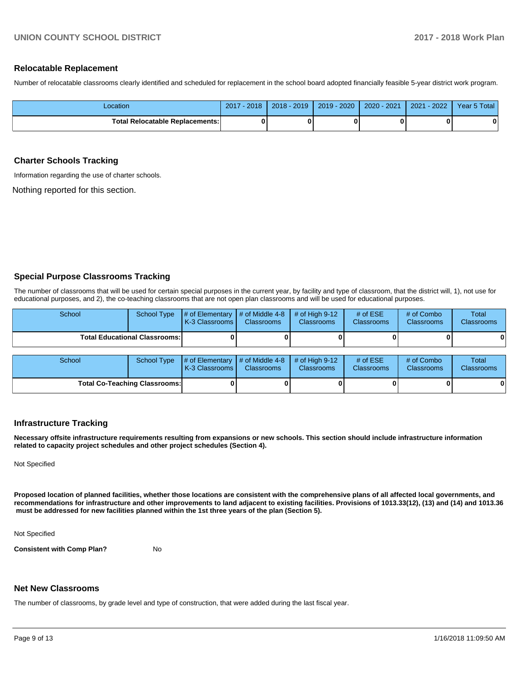#### **Relocatable Replacement**

Number of relocatable classrooms clearly identified and scheduled for replacement in the school board adopted financially feasible 5-year district work program.

| Location                               | $-2018$<br>2017 | $2018 - 2019$ | $2019 - 2020$ | 2020 - 2021 | $-2022'$<br>2021 | Year 5 Total |
|----------------------------------------|-----------------|---------------|---------------|-------------|------------------|--------------|
| <b>Total Relocatable Replacements:</b> |                 |               |               |             |                  | 0            |

#### **Charter Schools Tracking**

Information regarding the use of charter schools.

Nothing reported for this section.

#### **Special Purpose Classrooms Tracking**

The number of classrooms that will be used for certain special purposes in the current year, by facility and type of classroom, that the district will, 1), not use for educational purposes, and 2), the co-teaching classrooms that are not open plan classrooms and will be used for educational purposes.

| School                               | <b>School Type</b> | # of Elementary<br><b>K-3 Classrooms</b> | # of Middle 4-8<br><b>Classrooms</b> | $#$ of High 9-12<br><b>Classrooms</b> | # of $ESE$<br><b>Classrooms</b> | # of Combo<br><b>Classrooms</b> | Total<br><b>Classrooms</b> |
|--------------------------------------|--------------------|------------------------------------------|--------------------------------------|---------------------------------------|---------------------------------|---------------------------------|----------------------------|
| <b>Total Educational Classrooms:</b> |                    |                                          |                                      |                                       |                                 |                                 | 0                          |
|                                      |                    |                                          |                                      |                                       |                                 |                                 |                            |
| School                               | School Type        | # of Elementary<br><b>K-3 Classrooms</b> | # of Middle 4-8<br><b>Classrooms</b> | $#$ of High 9-12<br><b>Classrooms</b> | # of $ESE$<br><b>Classrooms</b> | # of Combo<br>Classrooms        | Total<br>Classrooms        |
| <b>Total Co-Teaching Classrooms:</b> |                    |                                          |                                      |                                       |                                 |                                 | 0                          |

#### **Infrastructure Tracking**

**Necessary offsite infrastructure requirements resulting from expansions or new schools. This section should include infrastructure information related to capacity project schedules and other project schedules (Section 4).** 

Not Specified

**Proposed location of planned facilities, whether those locations are consistent with the comprehensive plans of all affected local governments, and recommendations for infrastructure and other improvements to land adjacent to existing facilities. Provisions of 1013.33(12), (13) and (14) and 1013.36 must be addressed for new facilities planned within the 1st three years of the plan (Section 5).** 

Not Specified

**Consistent with Comp Plan?** No

#### **Net New Classrooms**

The number of classrooms, by grade level and type of construction, that were added during the last fiscal year.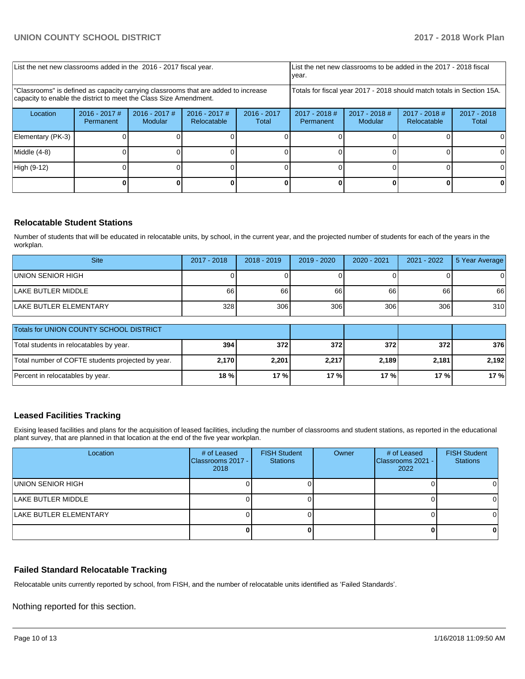| List the net new classrooms added in the 2016 - 2017 fiscal year.                                                                                       |                              |                            |                                | List the net new classrooms to be added in the 2017 - 2018 fiscal<br>year. |                                                                        |                            |                                |                        |
|---------------------------------------------------------------------------------------------------------------------------------------------------------|------------------------------|----------------------------|--------------------------------|----------------------------------------------------------------------------|------------------------------------------------------------------------|----------------------------|--------------------------------|------------------------|
| "Classrooms" is defined as capacity carrying classrooms that are added to increase<br>capacity to enable the district to meet the Class Size Amendment. |                              |                            |                                |                                                                            | Totals for fiscal year 2017 - 2018 should match totals in Section 15A. |                            |                                |                        |
| Location                                                                                                                                                | $2016 - 2017$ #<br>Permanent | $2016 - 2017$ #<br>Modular | $2016 - 2017$ #<br>Relocatable | $2016 - 2017$<br>Total                                                     | $2017 - 2018$ #<br>Permanent                                           | $2017 - 2018$ #<br>Modular | $2017 - 2018$ #<br>Relocatable | $2017 - 2018$<br>Total |
| Elementary (PK-3)                                                                                                                                       |                              |                            |                                |                                                                            |                                                                        |                            |                                | $\Omega$               |
| Middle (4-8)                                                                                                                                            |                              |                            |                                |                                                                            |                                                                        |                            |                                | 0                      |
| High (9-12)                                                                                                                                             |                              |                            |                                |                                                                            |                                                                        |                            |                                | 0                      |
|                                                                                                                                                         |                              |                            |                                |                                                                            |                                                                        |                            |                                |                        |

#### **Relocatable Student Stations**

Number of students that will be educated in relocatable units, by school, in the current year, and the projected number of students for each of the years in the workplan.

| <b>Site</b>                   | 2017 - 2018 | $2018 - 2019$ | $2019 - 2020$ | $2020 - 2021$ | 2021 - 2022 | 5 Year Average |
|-------------------------------|-------------|---------------|---------------|---------------|-------------|----------------|
| UNION SENIOR HIGH             |             |               |               |               |             | 0              |
| <b>ILAKE BUTLER MIDDLE</b>    | 66          | 66            | 66            | 66            | 66          | 66             |
| <b>LAKE BUTLER ELEMENTARY</b> | 328         | 306           | 306           | 306           | 306         | 310            |

| <b>Totals for UNION COUNTY SCHOOL DISTRICT</b>    |                  |       |       |       |         |       |
|---------------------------------------------------|------------------|-------|-------|-------|---------|-------|
| Total students in relocatables by year.           | 394 <sub>1</sub> | 372   | 372   | 3721  | 3721    | 376   |
| Total number of COFTE students projected by year. | 2.170            | 2,201 | 2,217 | 2.189 | 2,181   | 2.192 |
| Percent in relocatables by year.                  | $18 \%$          | 17%   | 17%   | 17 %  | $17 \%$ | 17%   |

# **Leased Facilities Tracking**

Exising leased facilities and plans for the acquisition of leased facilities, including the number of classrooms and student stations, as reported in the educational plant survey, that are planned in that location at the end of the five year workplan.

| Location               | # of Leased<br>Classrooms 2017 -<br>2018 | <b>FISH Student</b><br><b>Stations</b> | Owner | # of Leased<br>Classrooms 2021 -<br>2022 | <b>FISH Student</b><br><b>Stations</b> |
|------------------------|------------------------------------------|----------------------------------------|-------|------------------------------------------|----------------------------------------|
| UNION SENIOR HIGH      |                                          |                                        |       |                                          |                                        |
| LAKE BUTLER MIDDLE     |                                          |                                        |       |                                          |                                        |
| LAKE BUTLER ELEMENTARY |                                          |                                        |       |                                          |                                        |
|                        |                                          |                                        |       |                                          |                                        |

#### **Failed Standard Relocatable Tracking**

Relocatable units currently reported by school, from FISH, and the number of relocatable units identified as 'Failed Standards'.

Nothing reported for this section.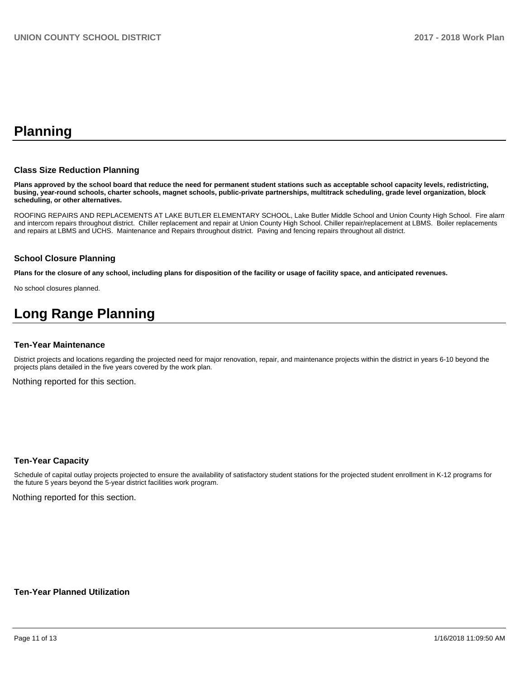# **Planning**

#### **Class Size Reduction Planning**

**Plans approved by the school board that reduce the need for permanent student stations such as acceptable school capacity levels, redistricting, busing, year-round schools, charter schools, magnet schools, public-private partnerships, multitrack scheduling, grade level organization, block scheduling, or other alternatives.**

ROOFING REPAIRS AND REPLACEMENTS AT LAKE BUTLER ELEMENTARY SCHOOL, Lake Butler Middle School and Union County High School. Fire alarm and intercom repairs throughout district. Chiller replacement and repair at Union County High School. Chiller repair/replacement at LBMS. Boiler replacements and repairs at LBMS and UCHS. Maintenance and Repairs throughout district. Paving and fencing repairs throughout all district.

#### **School Closure Planning**

**Plans for the closure of any school, including plans for disposition of the facility or usage of facility space, and anticipated revenues.** 

No school closures planned.

# **Long Range Planning**

#### **Ten-Year Maintenance**

District projects and locations regarding the projected need for major renovation, repair, and maintenance projects within the district in years 6-10 beyond the projects plans detailed in the five years covered by the work plan.

Nothing reported for this section.

#### **Ten-Year Capacity**

Schedule of capital outlay projects projected to ensure the availability of satisfactory student stations for the projected student enrollment in K-12 programs for the future 5 years beyond the 5-year district facilities work program.

Nothing reported for this section.

#### **Ten-Year Planned Utilization**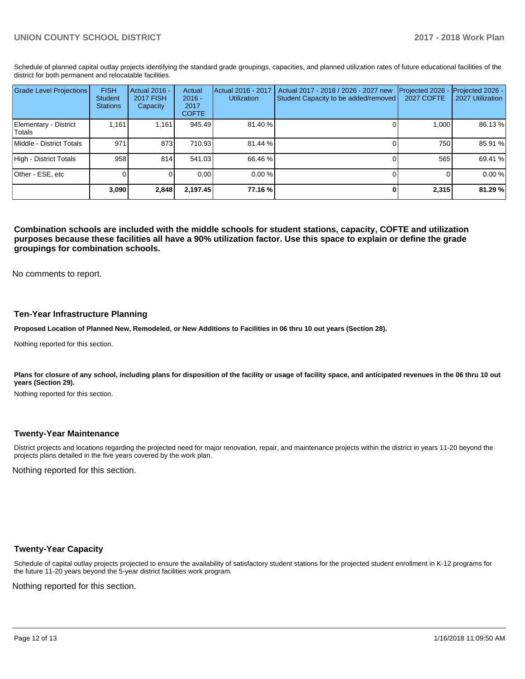Schedule of planned capital outlay projects identifying the standard grade groupings, capacities, and planned utilization rates of future educational facilities of the district for both permanent and relocatable facilities.

| <b>Grade Level Projections</b>   | <b>FISH</b><br>Student<br><b>Stations</b> | Actual 2016 -<br><b>2017 FISH</b><br>Capacity | Actual<br>$2016 -$<br>2017<br><b>COFTE</b> | Actual 2016 - 2017<br><b>Utilization</b> | Actual 2017 - 2018 / 2026 - 2027 new<br>Student Capacity to be added/removed | Projected 2026 -<br><b>2027 COFTE</b> | Projected 2026 -<br>2027 Utilization |
|----------------------------------|-------------------------------------------|-----------------------------------------------|--------------------------------------------|------------------------------------------|------------------------------------------------------------------------------|---------------------------------------|--------------------------------------|
| Elementary - District<br> Totals | 1.161                                     | 1.161                                         | 945.49                                     | 81.40 %                                  |                                                                              | 1.000                                 | 86.13 %                              |
| Middle - District Totals         | 971                                       | 873                                           | 710.93                                     | 81.44 %                                  |                                                                              | 750                                   | 85.91 %                              |
| High - District Totals           | 958                                       | 814                                           | 541.03                                     | 66.46 %                                  |                                                                              | 565                                   | 69.41 %                              |
| Other - ESE, etc                 |                                           |                                               | 0.00                                       | 0.00%                                    |                                                                              |                                       | 0.00 %                               |
|                                  | 3,090                                     | 2,848                                         | 2,197.45                                   | 77.16 %                                  |                                                                              | 2,315                                 | 81.29%                               |

**Combination schools are included with the middle schools for student stations, capacity, COFTE and utilization purposes because these facilities all have a 90% utilization factor. Use this space to explain or define the grade groupings for combination schools.** 

No comments to report.

#### **Ten-Year Infrastructure Planning**

**Proposed Location of Planned New, Remodeled, or New Additions to Facilities in 06 thru 10 out years (Section 28).**

Nothing reported for this section.

Plans for closure of any school, including plans for disposition of the facility or usage of facility space, and anticipated revenues in the 06 thru 10 out **years (Section 29).**

Nothing reported for this section.

#### **Twenty-Year Maintenance**

District projects and locations regarding the projected need for major renovation, repair, and maintenance projects within the district in years 11-20 beyond the projects plans detailed in the five years covered by the work plan.

Nothing reported for this section.

#### **Twenty-Year Capacity**

Schedule of capital outlay projects projected to ensure the availability of satisfactory student stations for the projected student enrollment in K-12 programs for the future 11-20 years beyond the 5-year district facilities work program.

Nothing reported for this section.